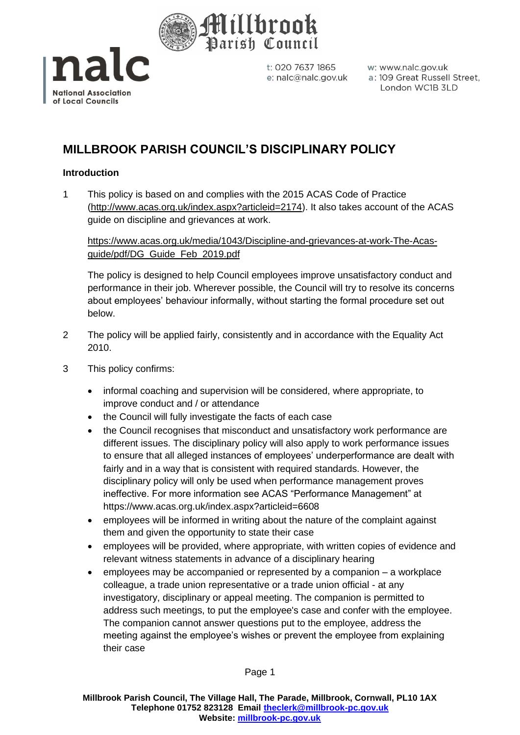



w: www.nalc.gov.uk a: 109 Great Russell Street, London WC1B 3LD

# **MILLBROOK PARISH COUNCIL'S DISCIPLINARY POLICY**

## **Introduction**

1 This policy is based on and complies with the 2015 ACAS Code of Practice [\(http://www.acas.org.uk/index.aspx?articleid=2174\)](http://www.acas.org.uk/index.aspx?articleid=2174). It also takes account of the ACAS guide on discipline and grievances at work.

## [https://www.acas.org.uk/media/1043/Discipline-and-grievances-at-work-The-Acas](https://www.acas.org.uk/media/1043/Discipline-and-grievances-at-work-The-Acas-guide/pdf/DG_Guide_Feb_2019.pdf)[guide/pdf/DG\\_Guide\\_Feb\\_2019.pdf](https://www.acas.org.uk/media/1043/Discipline-and-grievances-at-work-The-Acas-guide/pdf/DG_Guide_Feb_2019.pdf)

The policy is designed to help Council employees improve unsatisfactory conduct and performance in their job. Wherever possible, the Council will try to resolve its concerns about employees' behaviour informally, without starting the formal procedure set out below.

- 2 The policy will be applied fairly, consistently and in accordance with the Equality Act 2010.
- 3 This policy confirms:
	- informal coaching and supervision will be considered, where appropriate, to improve conduct and / or attendance
	- the Council will fully investigate the facts of each case
	- the Council recognises that misconduct and unsatisfactory work performance are different issues. The disciplinary policy will also apply to work performance issues to ensure that all alleged instances of employees' underperformance are dealt with fairly and in a way that is consistent with required standards. However, the disciplinary policy will only be used when performance management proves ineffective. For more information see ACAS "Performance Management" at <https://www.acas.org.uk/index.aspx?articleid=6608>
	- employees will be informed in writing about the nature of the complaint against them and given the opportunity to state their case
	- employees will be provided, where appropriate, with written copies of evidence and relevant witness statements in advance of a disciplinary hearing
	- employees may be accompanied or represented by a companion a workplace colleague, a trade union representative or a trade union official - at any investigatory, disciplinary or appeal meeting. The companion is permitted to address such meetings, to put the employee's case and confer with the employee. The companion cannot answer questions put to the employee, address the meeting against the employee's wishes or prevent the employee from explaining their case

Page 1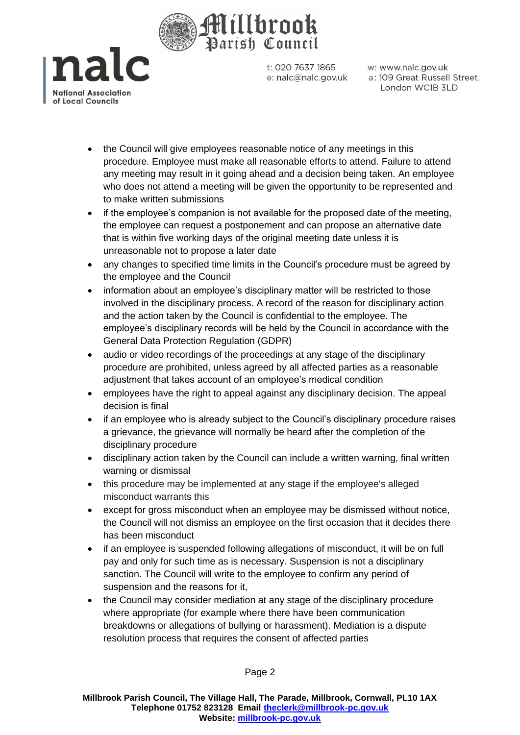



w: www.nalc.gov.uk a: 109 Great Russell Street, London WC1B 3LD

- the Council will give employees reasonable notice of any meetings in this procedure. Employee must make all reasonable efforts to attend. Failure to attend any meeting may result in it going ahead and a decision being taken. An employee who does not attend a meeting will be given the opportunity to be represented and to make written submissions
- if the employee's companion is not available for the proposed date of the meeting, the employee can request a postponement and can propose an alternative date that is within five working days of the original meeting date unless it is unreasonable not to propose a later date
- any changes to specified time limits in the Council's procedure must be agreed by the employee and the Council
- information about an employee's disciplinary matter will be restricted to those involved in the disciplinary process. A record of the reason for disciplinary action and the action taken by the Council is confidential to the employee. The employee's disciplinary records will be held by the Council in accordance with the General Data Protection Regulation (GDPR)
- audio or video recordings of the proceedings at any stage of the disciplinary procedure are prohibited, unless agreed by all affected parties as a reasonable adjustment that takes account of an employee's medical condition
- employees have the right to appeal against any disciplinary decision. The appeal decision is final
- if an employee who is already subject to the Council's disciplinary procedure raises a grievance, the grievance will normally be heard after the completion of the disciplinary procedure
- disciplinary action taken by the Council can include a written warning, final written warning or dismissal
- this procedure may be implemented at any stage if the employee's alleged misconduct warrants this
- except for gross misconduct when an employee may be dismissed without notice, the Council will not dismiss an employee on the first occasion that it decides there has been misconduct
- if an employee is suspended following allegations of misconduct, it will be on full pay and only for such time as is necessary. Suspension is not a disciplinary sanction. The Council will write to the employee to confirm any period of suspension and the reasons for it,
- the Council may consider mediation at any stage of the disciplinary procedure where appropriate (for example where there have been communication breakdowns or allegations of bullying or harassment). Mediation is a dispute resolution process that requires the consent of affected parties

Page 2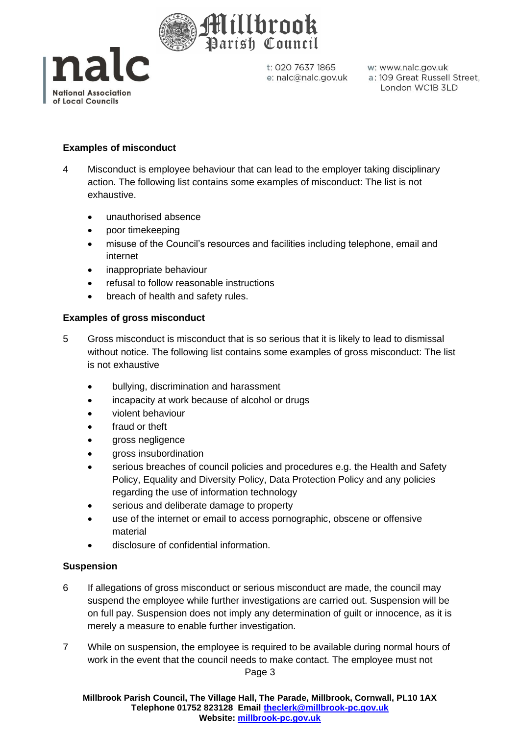



w: www.nalc.gov.uk a: 109 Great Russell Street, London WC1B 3LD

## **Examples of misconduct**

- 4 Misconduct is employee behaviour that can lead to the employer taking disciplinary action. The following list contains some examples of misconduct: The list is not exhaustive.
	- unauthorised absence
	- poor timekeeping
	- misuse of the Council's resources and facilities including telephone, email and internet
	- inappropriate behaviour
	- refusal to follow reasonable instructions
	- breach of health and safety rules.

### **Examples of gross misconduct**

- 5 Gross misconduct is misconduct that is so serious that it is likely to lead to dismissal without notice. The following list contains some examples of gross misconduct: The list is not exhaustive
	- bullying, discrimination and harassment
	- incapacity at work because of alcohol or drugs
	- violent behaviour
	- fraud or theft
	- gross negligence
	- gross insubordination
	- serious breaches of council policies and procedures e.g. the Health and Safety Policy, Equality and Diversity Policy, Data Protection Policy and any policies regarding the use of information technology
	- serious and deliberate damage to property
	- use of the internet or email to access pornographic, obscene or offensive material
	- disclosure of confidential information.

### **Suspension**

- 6 If allegations of gross misconduct or serious misconduct are made, the council may suspend the employee while further investigations are carried out. Suspension will be on full pay. Suspension does not imply any determination of guilt or innocence, as it is merely a measure to enable further investigation.
- Page 3 7 While on suspension, the employee is required to be available during normal hours of work in the event that the council needs to make contact. The employee must not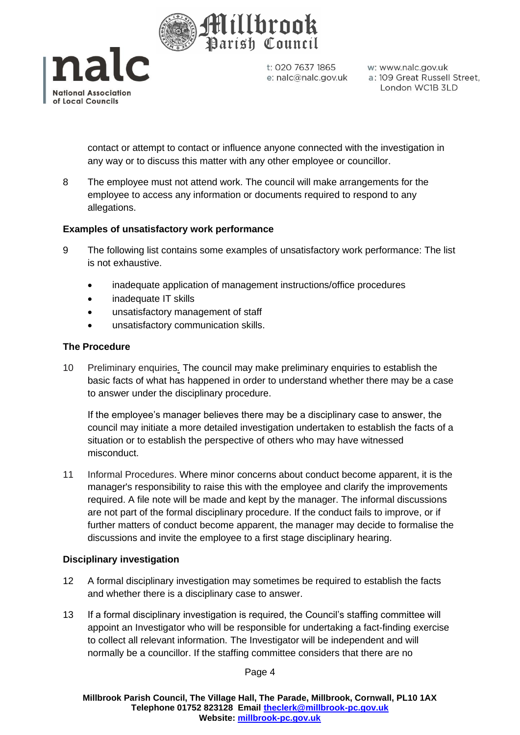



w: www.nalc.gov.uk a: 109 Great Russell Street, London WC1B 3LD

contact or attempt to contact or influence anyone connected with the investigation in any way or to discuss this matter with any other employee or councillor.

8 The employee must not attend work. The council will make arrangements for the employee to access any information or documents required to respond to any allegations.

## **Examples of unsatisfactory work performance**

- 9 The following list contains some examples of unsatisfactory work performance: The list is not exhaustive.
	- inadequate application of management instructions/office procedures
	- inadequate IT skills
	- unsatisfactory management of staff
	- unsatisfactory communication skills.

### **The Procedure**

10 Preliminary enquiries*.* The council may make preliminary enquiries to establish the basic facts of what has happened in order to understand whether there may be a case to answer under the disciplinary procedure.

If the employee's manager believes there may be a disciplinary case to answer, the council may initiate a more detailed investigation undertaken to establish the facts of a situation or to establish the perspective of others who may have witnessed misconduct.

11 Informal Procedures. Where minor concerns about conduct become apparent, it is the manager's responsibility to raise this with the employee and clarify the improvements required. A file note will be made and kept by the manager. The informal discussions are not part of the formal disciplinary procedure. If the conduct fails to improve, or if further matters of conduct become apparent, the manager may decide to formalise the discussions and invite the employee to a first stage disciplinary hearing.

### **Disciplinary investigation**

- 12 A formal disciplinary investigation may sometimes be required to establish the facts and whether there is a disciplinary case to answer.
- 13 If a formal disciplinary investigation is required, the Council's staffing committee will appoint an Investigator who will be responsible for undertaking a fact-finding exercise to collect all relevant information. The Investigator will be independent and will normally be a councillor. If the staffing committee considers that there are no

Page 4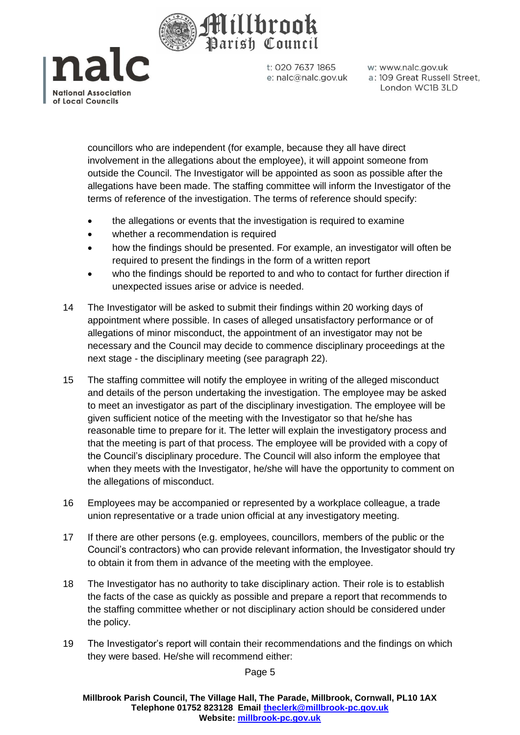

nalc **National Association** of Local Councils

t: 020 7637 1865 e: nalc@nalc.gov.uk w: www.nalc.gov.uk a: 109 Great Russell Street, London WC1B 3LD

councillors who are independent (for example, because they all have direct involvement in the allegations about the employee), it will appoint someone from outside the Council. The Investigator will be appointed as soon as possible after the allegations have been made. The staffing committee will inform the Investigator of the terms of reference of the investigation. The terms of reference should specify:

- the allegations or events that the investigation is required to examine
- whether a recommendation is required
- how the findings should be presented. For example, an investigator will often be required to present the findings in the form of a written report
- who the findings should be reported to and who to contact for further direction if unexpected issues arise or advice is needed.
- 14 The Investigator will be asked to submit their findings within 20 working days of appointment where possible. In cases of alleged unsatisfactory performance or of allegations of minor misconduct, the appointment of an investigator may not be necessary and the Council may decide to commence disciplinary proceedings at the next stage - the disciplinary meeting (see paragraph 22).
- 15 The staffing committee will notify the employee in writing of the alleged misconduct and details of the person undertaking the investigation. The employee may be asked to meet an investigator as part of the disciplinary investigation. The employee will be given sufficient notice of the meeting with the Investigator so that he/she has reasonable time to prepare for it. The letter will explain the investigatory process and that the meeting is part of that process. The employee will be provided with a copy of the Council's disciplinary procedure. The Council will also inform the employee that when they meets with the Investigator, he/she will have the opportunity to comment on the allegations of misconduct.
- 16 Employees may be accompanied or represented by a workplace colleague, a trade union representative or a trade union official at any investigatory meeting.
- 17 If there are other persons (e.g. employees, councillors, members of the public or the Council's contractors) who can provide relevant information, the Investigator should try to obtain it from them in advance of the meeting with the employee.
- 18 The Investigator has no authority to take disciplinary action. Their role is to establish the facts of the case as quickly as possible and prepare a report that recommends to the staffing committee whether or not disciplinary action should be considered under the policy.
- 19 The Investigator's report will contain their recommendations and the findings on which they were based. He/she will recommend either:

Page 5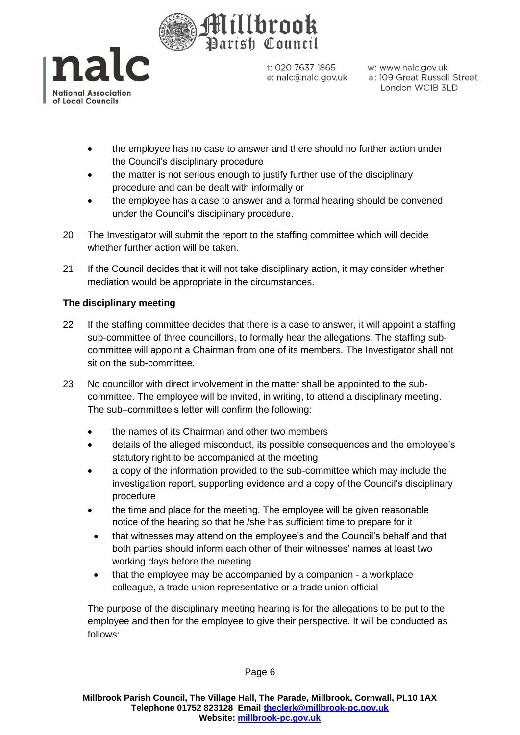



w: www.nalc.gov.uk a: 109 Great Russell Street, London WC1B 3LD

- the employee has no case to answer and there should no further action under the Council's disciplinary procedure
- the matter is not serious enough to justify further use of the disciplinary procedure and can be dealt with informally or
- the employee has a case to answer and a formal hearing should be convened under the Council's disciplinary procedure.
- 20 The Investigator will submit the report to the staffing committee which will decide whether further action will be taken.
- 21 If the Council decides that it will not take disciplinary action, it may consider whether mediation would be appropriate in the circumstances.

## **The disciplinary meeting**

- 22 If the staffing committee decides that there is a case to answer, it will appoint a staffing sub-committee of three councillors, to formally hear the allegations. The staffing subcommittee will appoint a Chairman from one of its members. The Investigator shall not sit on the sub-committee.
- 23 No councillor with direct involvement in the matter shall be appointed to the subcommittee. The employee will be invited, in writing, to attend a disciplinary meeting. The sub–committee's letter will confirm the following:
	- the names of its Chairman and other two members
	- details of the alleged misconduct, its possible consequences and the employee's statutory right to be accompanied at the meeting
	- a copy of the information provided to the sub-committee which may include the investigation report, supporting evidence and a copy of the Council's disciplinary procedure
	- the time and place for the meeting. The employee will be given reasonable notice of the hearing so that he /she has sufficient time to prepare for it
	- that witnesses may attend on the employee's and the Council's behalf and that both parties should inform each other of their witnesses' names at least two working days before the meeting
	- that the employee may be accompanied by a companion a workplace colleague, a trade union representative or a trade union official

The purpose of the disciplinary meeting hearing is for the allegations to be put to the employee and then for the employee to give their perspective. It will be conducted as follows: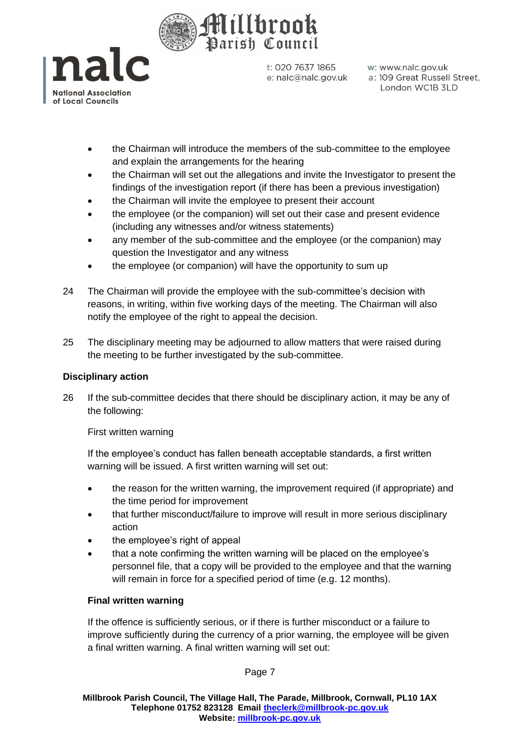



w: www.nalc.gov.uk a: 109 Great Russell Street, London WC1B 3LD

- the Chairman will introduce the members of the sub-committee to the employee and explain the arrangements for the hearing
- the Chairman will set out the allegations and invite the Investigator to present the findings of the investigation report (if there has been a previous investigation)
- the Chairman will invite the employee to present their account
- the employee (or the companion) will set out their case and present evidence (including any witnesses and/or witness statements)
- any member of the sub-committee and the employee (or the companion) may question the Investigator and any witness
- the employee (or companion) will have the opportunity to sum up
- 24 The Chairman will provide the employee with the sub-committee's decision with reasons, in writing, within five working days of the meeting. The Chairman will also notify the employee of the right to appeal the decision.
- 25 The disciplinary meeting may be adjourned to allow matters that were raised during the meeting to be further investigated by the sub-committee.

## **Disciplinary action**

26 If the sub-committee decides that there should be disciplinary action, it may be any of the following:

First written warning

If the employee's conduct has fallen beneath acceptable standards, a first written warning will be issued. A first written warning will set out:

- the reason for the written warning, the improvement required (if appropriate) and the time period for improvement
- that further misconduct/failure to improve will result in more serious disciplinary action
- the employee's right of appeal
- that a note confirming the written warning will be placed on the employee's personnel file, that a copy will be provided to the employee and that the warning will remain in force for a specified period of time (e.g. 12 months).

## **Final written warning**

If the offence is sufficiently serious, or if there is further misconduct or a failure to improve sufficiently during the currency of a prior warning, the employee will be given a final written warning. A final written warning will set out:

Page 7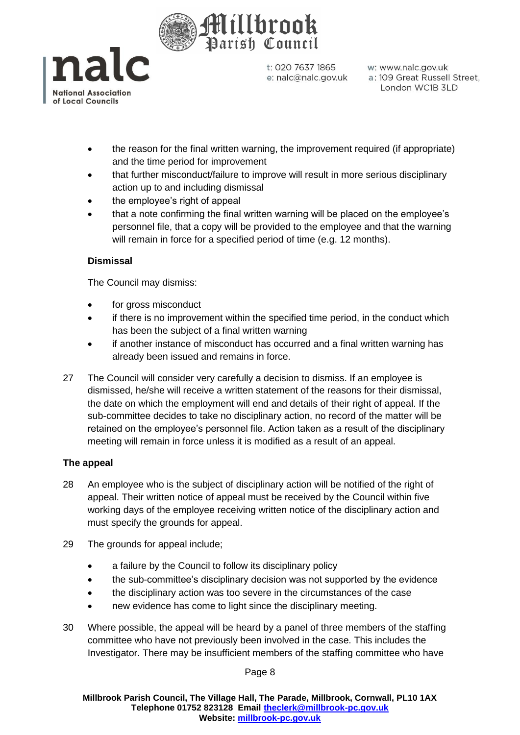



w: www.nalc.gov.uk a: 109 Great Russell Street, London WC1B 3LD

- the reason for the final written warning, the improvement required (if appropriate) and the time period for improvement
- that further misconduct/failure to improve will result in more serious disciplinary action up to and including dismissal
- the employee's right of appeal
- that a note confirming the final written warning will be placed on the employee's personnel file, that a copy will be provided to the employee and that the warning will remain in force for a specified period of time (e.g. 12 months).

## **Dismissal**

The Council may dismiss:

- for gross misconduct
- if there is no improvement within the specified time period, in the conduct which has been the subject of a final written warning
- if another instance of misconduct has occurred and a final written warning has already been issued and remains in force.
- 27 The Council will consider very carefully a decision to dismiss. If an employee is dismissed, he/she will receive a written statement of the reasons for their dismissal, the date on which the employment will end and details of their right of appeal. If the sub-committee decides to take no disciplinary action, no record of the matter will be retained on the employee's personnel file. Action taken as a result of the disciplinary meeting will remain in force unless it is modified as a result of an appeal.

## **The appeal**

- 28 An employee who is the subject of disciplinary action will be notified of the right of appeal. Their written notice of appeal must be received by the Council within five working days of the employee receiving written notice of the disciplinary action and must specify the grounds for appeal.
- 29 The grounds for appeal include;
	- a failure by the Council to follow its disciplinary policy
	- the sub-committee's disciplinary decision was not supported by the evidence
	- the disciplinary action was too severe in the circumstances of the case
	- new evidence has come to light since the disciplinary meeting.
- 30 Where possible, the appeal will be heard by a panel of three members of the staffing committee who have not previously been involved in the case. This includes the Investigator. There may be insufficient members of the staffing committee who have

Page 8